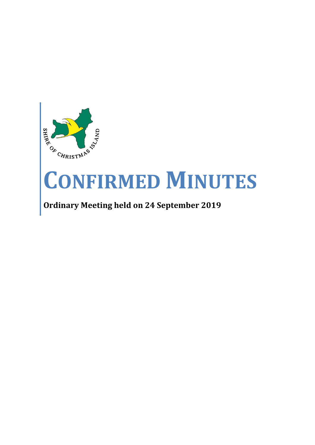

# **CONFIRMED MINUTES**

## **Ordinary Meeting held on 24 September 2019**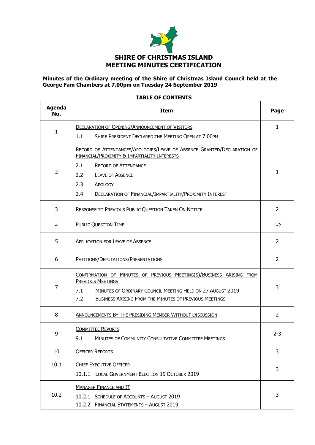

#### **Minutes of the Ordinary meeting of the Shire of Christmas Island Council held at the George Fam Chambers at 7.00pm on Tuesday 24 September 2019**

## **Agenda No. Item Page** 1 DECLARATION OF OPENING/ANNOUNCEMENT OF VISITORS 1.1 SHIRE PRESIDENT DECLARED THE MEETING OPEN AT 7.00PM 1  $\overline{2}$ RECORD OF ATTENDANCES/APOLOGIES/LEAVE OF ABSENCE GRANTED/DECLARATION OF FINANCIAL/PROXIMITY & IMPARTIALITY INTERESTS 2.1 RECORD OF ATTENDANCE 2.2 LEAVE OF ABSENCE 2.3 APOLOGY 2.4 DECLARATION OF FINANCIAL/IMPARTIALITY/PROXIMITY INTEREST 1 3 RESPONSE TO PREVIOUS PUBLIC QUESTION TAKEN ON NOTICE 2 4 PUBLIC QUESTION TIME 1-2 **S** APPLICATION FOR LEAVE OF ABSENCE **2** 6 PETITIONS/DEPUTATIONS/PRESENTATIONS 2 7 CONFIRMATION OF MINUTES OF PREVIOUS MEETING(S)/BUSINESS ARISING FROM PREVIOUS MEETINGS 7.1 MINUTES OF ORDINARY COUNCIL MEETING HELD ON 27 AUGUST 2019 7.2 BUSINESS ARISING FROM THE MINUTES OF PREVIOUS MEETINGS 3 8 ANNOUNCEMENTS BY THE PRESIDING MEMBER WITHOUT DISCUSSION 2 9 COMMITTEE REPORTS 9.1 MINUTES OF COMMUNITY CONSULTATIVE COMMITTEE MEETINGS 2-3 10 OFFICER REPORTS 3 10.1 | CHIEF EXECUTIVE OFFICER 10.1.1 LOCAL GOVERNMENT ELECTION 19 OCTOBER 2019 3 10.2 MANAGER FINANCE AND IT 10.2.1 SCHEDULE OF ACCOUNTS – AUGUST 2019 10.2.2 FINANCIAL STATEMENTS – AUGUST 2019 3

#### **TABLE OF CONTENTS**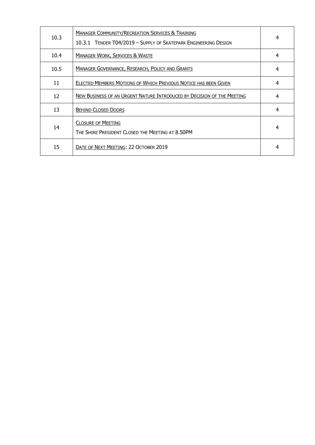| 10.3 | <b>MANAGER COMMUNITY/RECREATION SERVICES &amp; TRAINING</b><br>10.3.1 TENDER T04/2019 - SUPPLY OF SKATEPARK ENGINEERING DESIGN | 4 |
|------|--------------------------------------------------------------------------------------------------------------------------------|---|
| 10.4 | <b>MANAGER WORK, SERVICES &amp; WASTE</b>                                                                                      | 4 |
| 10.5 | <b>MANAGER GOVERNANCE, RESEARCH, POLICY AND GRANTS</b>                                                                         | 4 |
| 11   | <b>ELECTED MEMBERS MOTIONS OF WHICH PREVIOUS NOTICE HAS BEEN GIVEN</b>                                                         | 4 |
| 12   | NEW BUSINESS OF AN URGENT NATURE INTRODUCED BY DECISION OF THE MEETING                                                         | 4 |
| 13   | <b>BEHIND CLOSED DOORS</b>                                                                                                     | 4 |
| 14   | <b>CLOSURE OF MEETING</b><br>THE SHIRE PRESIDENT CLOSED THE MEETING AT 8.50PM                                                  | 4 |
| 15   | DATE OF NEXT MEETING: 22 OCTOBER 2019                                                                                          | 4 |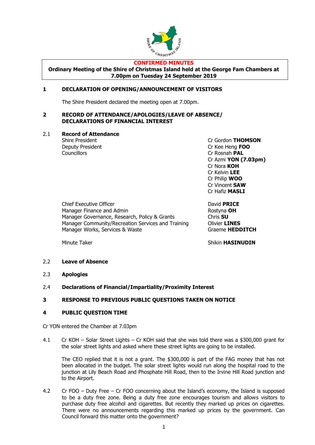

#### **CONFIRMED MINUTES**

**Ordinary Meeting of the Shire of Christmas Island held at the George Fam Chambers at 7.00pm on Tuesday 24 September 2019**

## **1 DECLARATION OF OPENING/ANNOUNCEMENT OF VISITORS**

The Shire President declared the meeting open at 7.00pm.

#### **2 RECORD OF ATTENDANCE/APOLOGIES/LEAVE OF ABSENCE/ DECLARATIONS OF FINANCIAL INTEREST**

#### 2.1 **Record of Attendance**

Deputy President Cr Kee Heng **FOO** Councillors Cr Rosnah **PAL**

Shire President **Cr Gordon <b>THOMSON** Cr Azmi **YON (7.03pm)** Cr Nora **KOH** Cr Kelvin **LEE** Cr Philip **WOO** Cr Vincent **SAW** Cr Hafiz **MASLI**

Chief Executive Officer **David PRICE** Manager Finance and Admin Rostyna **OH** Manager Governance, Research, Policy & Grants Chris **SU** Manager Community/Recreation Services and Training **Olivier LINES** Manager Works, Services & Waste Graeme **HEDDITCH** 

Minute Taker **Shikin HASINUDIN** 

#### 2.2 **Leave of Absence**

- 2.3 **Apologies**
- 2.4 **Declarations of Financial/Impartiality/Proximity Interest**

#### **3 RESPONSE TO PREVIOUS PUBLIC QUESTIONS TAKEN ON NOTICE**

#### **4 PUBLIC QUESTION TIME**

Cr YON entered the Chamber at 7.03pm

4.1 Cr KOH – Solar Street Lights – Cr KOH said that she was told there was a \$300,000 grant for the solar street lights and asked where these street lights are going to be installed.

The CEO replied that it is not a grant. The \$300,000 is part of the FAG money that has not been allocated in the budget. The solar street lights would run along the hospital road to the junction at Lily Beach Road and Phosphate Hill Road, then to the Irvine Hill Road junction and to the Airport.

4.2 Cr FOO – Duty Free – Cr FOO concerning about the Island's economy, the Island is supposed to be a duty free zone. Being a duty free zone encourages tourism and allows visitors to purchase duty free alcohol and cigarettes. But recently they marked up prices on cigarettes. There were no announcements regarding this marked up prices by the government. Can Council forward this matter onto the government?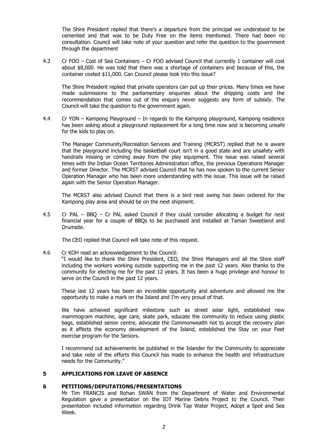The Shire President replied that there's a departure from the principal we understood to be cemented and that was to be Duty Free on the items mentioned. There had been no consultation. Council will take note of your question and refer the question to the government through the department

4.3 Cr FOO – Cost of Sea Containers – Cr FOO advised Council that currently 1 container will cost about \$8,000. He was told that there was a shortage of containers and because of this, the container costed \$11,000. Can Council please look into this issue?

The Shire President replied that private operators can put up their prices. Many times we have made submissions to the parliamentary enquiries about the shipping costs and the recommendation that comes out of the enquiry never suggests any form of subsidy. The Council will take the question to the government again.

4.4 Cr YON – Kampong Playground – In regards to the Kampong playground, Kampong residence has been asking about a playground replacement for a long time now and is becoming unsafe for the kids to play on.

The Manager Community/Recreation Services and Training (MCRST) replied that he is aware that the playground including the basketball court isn't in a good state and are unsafety with handrails missing or coming away from the play equipment. This issue was raised several times with the Indian Ocean Territories Administration office, the previous Operations Manager and former Director. The MCRST advised Council that he has now spoken to the current Senior Operation Manager who has been more understanding with the issue. This issue will be raised again with the Senior Operation Manager.

The MCRST also advised Council that there is a bird nest swing has been ordered for the Kampong play area and should be on the next shipment.

4.5 Cr PAL – BBQ – Cr PAL asked Council if they could consider allocating a budget for next financial year for a couple of BBQs to be purchased and installed at Taman Sweetland and Drumsite.

The CEO replied that Council will take note of this request.

4.6 Cr KOH read an acknowledgement to the Council:

"I would like to thank the Shire President, CEO, the Shire Managers and all the Shire staff including the workers working outside supporting me in the past 12 years. Also thanks to the community for electing me for the past 12 years. It has been a huge privilege and honour to serve on the Council in the past 12 years.

These last 12 years has been an incredible opportunity and adventure and allowed me the opportunity to make a mark on the Island and I'm very proud of that.

We have achieved significant milestone such as street solar light, established new mammogram machine, age care, skate park, educate the community to reduce using plastic bags, established senior centre, advocate the Commonwealth not to accept the recovery plan as it affects the economy development of the Island, established the Stay on your Feet exercise program for the Seniors.

I recommend out achievements be published in the Islander for the Community to appreciate and take note of the efforts this Council has made to enhance the health and infrastructure needs for the Community."

#### **5 APPLICATIONS FOR LEAVE OF ABSENCE**

#### **6 PETITIONS/DEPUTATIONS/PRESENTATIONS**

Mr Tim FRANCIS and Rohan SWAN from the Department of Water and Environmental Regulation gave a presentation on the IOT Marine Debris Project to the Council. Their presentation included information regarding Drink Tap Water Project, Adopt a Spot and Sea Week.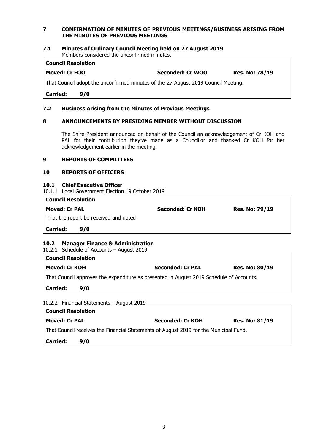#### **7 CONFIRMATION OF MINUTES OF PREVIOUS MEETINGS/BUSINESS ARISING FROM THE MINUTES OF PREVIOUS MEETINGS**

#### **7.1 Minutes of Ordinary Council Meeting held on 27 August 2019** Members considered the unconfirmed minutes.

## **Council Resolution**

**Moved: Cr FOO Seconded: Cr WOO Res. No: 78/19**

That Council adopt the unconfirmed minutes of the 27 August 2019 Council Meeting.

**Carried: 9/0**

#### **7.2 Business Arising from the Minutes of Previous Meetings**

### **8 ANNOUNCEMENTS BY PRESIDING MEMBER WITHOUT DISCUSSION**

The Shire President announced on behalf of the Council an acknowledgement of Cr KOH and PAL for their contribution they've made as a Councillor and thanked Cr KOH for her acknowledgement earlier in the meeting.

## **9 REPORTS OF COMMITTEES**

#### **10 REPORTS OF OFFICERS**

**10.1 Chief Executive Officer** 10.1.1 Local Government Election 19 October 2019

| <b>Council Resolution</b>             |                  |                       |  |  |  |
|---------------------------------------|------------------|-----------------------|--|--|--|
| <b>Moved: Cr PAL</b>                  | Seconded: Cr KOH | <b>Res. No: 79/19</b> |  |  |  |
| That the report be received and noted |                  |                       |  |  |  |
| <b>Carried:</b><br>9/0                |                  |                       |  |  |  |

## **10.2 Manager Finance & Administration**

10.2.1 Schedule of Accounts – August 2019

| Moved: Cr KOH                                                                           | <b>Seconded: Cr PAL</b> | <b>Res. No: 80/19</b> |  |  |  |  |
|-----------------------------------------------------------------------------------------|-------------------------|-----------------------|--|--|--|--|
| That Council approves the expenditure as presented in August 2019 Schedule of Accounts. |                         |                       |  |  |  |  |
| <b>Carried:</b><br>9/0                                                                  |                         |                       |  |  |  |  |

| <b>Council Resolution</b>                                                             |     |                         |                       |  |
|---------------------------------------------------------------------------------------|-----|-------------------------|-----------------------|--|
| <b>Moved: Cr PAL</b>                                                                  |     | <b>Seconded: Cr KOH</b> | <b>Res. No: 81/19</b> |  |
| That Council receives the Financial Statements of August 2019 for the Municipal Fund. |     |                         |                       |  |
| <b>Carried:</b>                                                                       | 970 |                         |                       |  |